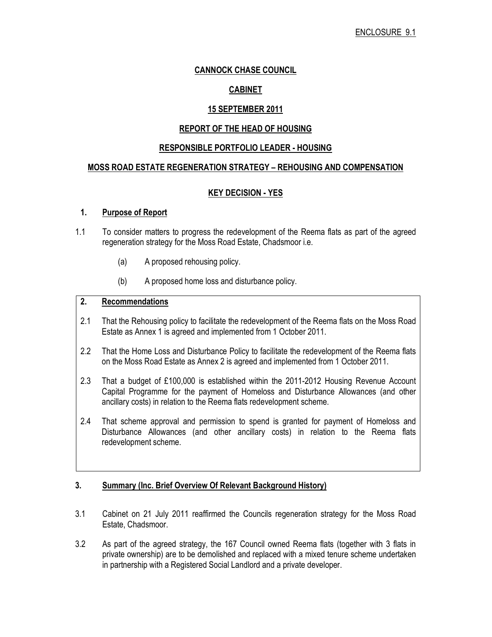# CANNOCK CHASE COUNCIL

# CABINET

# 15 SEPTEMBER 2011

### REPORT OF THE HEAD OF HOUSING

### RESPONSIBLE PORTFOLIO LEADER - HOUSING

### MOSS ROAD ESTATE REGENERATION STRATEGY – REHOUSING AND COMPENSATION

# KEY DECISION - YES

# 1. Purpose of Report

- 1.1 To consider matters to progress the redevelopment of the Reema flats as part of the agreed regeneration strategy for the Moss Road Estate, Chadsmoor i.e.
	- (a) A proposed rehousing policy.
	- (b) A proposed home loss and disturbance policy.

# 2. Recommendations

- 2.1 That the Rehousing policy to facilitate the redevelopment of the Reema flats on the Moss Road Estate as Annex 1 is agreed and implemented from 1 October 2011.
- 2.2 That the Home Loss and Disturbance Policy to facilitate the redevelopment of the Reema flats on the Moss Road Estate as Annex 2 is agreed and implemented from 1 October 2011.
- 2.3 That a budget of £100,000 is established within the 2011-2012 Housing Revenue Account Capital Programme for the payment of Homeloss and Disturbance Allowances (and other ancillary costs) in relation to the Reema flats redevelopment scheme.
- 2.4 That scheme approval and permission to spend is granted for payment of Homeloss and Disturbance Allowances (and other ancillary costs) in relation to the Reema flats redevelopment scheme.

### 3. Summary (Inc. Brief Overview Of Relevant Background History)

- 3.1 Cabinet on 21 July 2011 reaffirmed the Councils regeneration strategy for the Moss Road Estate, Chadsmoor.
- 3.2 As part of the agreed strategy, the 167 Council owned Reema flats (together with 3 flats in private ownership) are to be demolished and replaced with a mixed tenure scheme undertaken in partnership with a Registered Social Landlord and a private developer.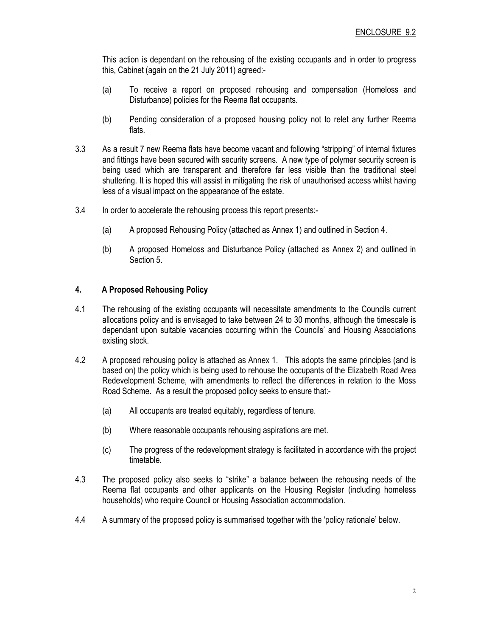This action is dependant on the rehousing of the existing occupants and in order to progress this, Cabinet (again on the 21 July 2011) agreed:-

- (a) To receive a report on proposed rehousing and compensation (Homeloss and Disturbance) policies for the Reema flat occupants.
- (b) Pending consideration of a proposed housing policy not to relet any further Reema flats.
- 3.3 As a result 7 new Reema flats have become vacant and following "stripping" of internal fixtures and fittings have been secured with security screens. A new type of polymer security screen is being used which are transparent and therefore far less visible than the traditional steel shuttering. It is hoped this will assist in mitigating the risk of unauthorised access whilst having less of a visual impact on the appearance of the estate.
- 3.4 In order to accelerate the rehousing process this report presents:-
	- (a) A proposed Rehousing Policy (attached as Annex 1) and outlined in Section 4.
	- (b) A proposed Homeloss and Disturbance Policy (attached as Annex 2) and outlined in Section 5.

# 4. A Proposed Rehousing Policy

- 4.1 The rehousing of the existing occupants will necessitate amendments to the Councils current allocations policy and is envisaged to take between 24 to 30 months, although the timescale is dependant upon suitable vacancies occurring within the Councils' and Housing Associations existing stock.
- 4.2 A proposed rehousing policy is attached as Annex 1. This adopts the same principles (and is based on) the policy which is being used to rehouse the occupants of the Elizabeth Road Area Redevelopment Scheme, with amendments to reflect the differences in relation to the Moss Road Scheme. As a result the proposed policy seeks to ensure that:-
	- (a) All occupants are treated equitably, regardless of tenure.
	- (b) Where reasonable occupants rehousing aspirations are met.
	- (c) The progress of the redevelopment strategy is facilitated in accordance with the project timetable.
- 4.3 The proposed policy also seeks to "strike" a balance between the rehousing needs of the Reema flat occupants and other applicants on the Housing Register (including homeless households) who require Council or Housing Association accommodation.
- 4.4 A summary of the proposed policy is summarised together with the 'policy rationale' below.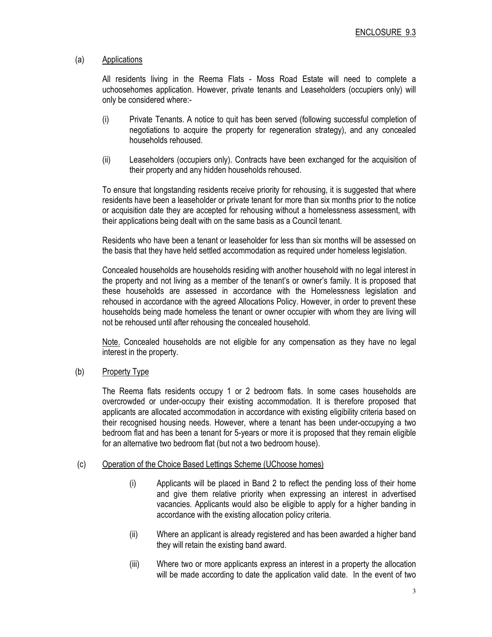# (a) Applications

All residents living in the Reema Flats - Moss Road Estate will need to complete a uchoosehomes application. However, private tenants and Leaseholders (occupiers only) will only be considered where:-

- (i) Private Tenants. A notice to quit has been served (following successful completion of negotiations to acquire the property for regeneration strategy), and any concealed households rehoused.
- (ii) Leaseholders (occupiers only). Contracts have been exchanged for the acquisition of their property and any hidden households rehoused.

To ensure that longstanding residents receive priority for rehousing, it is suggested that where residents have been a leaseholder or private tenant for more than six months prior to the notice or acquisition date they are accepted for rehousing without a homelessness assessment, with their applications being dealt with on the same basis as a Council tenant.

Residents who have been a tenant or leaseholder for less than six months will be assessed on the basis that they have held settled accommodation as required under homeless legislation.

Concealed households are households residing with another household with no legal interest in the property and not living as a member of the tenant's or owner's family. It is proposed that these households are assessed in accordance with the Homelessness legislation and rehoused in accordance with the agreed Allocations Policy. However, in order to prevent these households being made homeless the tenant or owner occupier with whom they are living will not be rehoused until after rehousing the concealed household.

Note. Concealed households are not eligible for any compensation as they have no legal interest in the property.

### (b) Property Type

The Reema flats residents occupy 1 or 2 bedroom flats. In some cases households are overcrowded or under-occupy their existing accommodation. It is therefore proposed that applicants are allocated accommodation in accordance with existing eligibility criteria based on their recognised housing needs. However, where a tenant has been under-occupying a two bedroom flat and has been a tenant for 5-years or more it is proposed that they remain eligible for an alternative two bedroom flat (but not a two bedroom house).

### (c) Operation of the Choice Based Lettings Scheme (UChoose homes)

- (i) Applicants will be placed in Band 2 to reflect the pending loss of their home and give them relative priority when expressing an interest in advertised vacancies. Applicants would also be eligible to apply for a higher banding in accordance with the existing allocation policy criteria.
- (ii) Where an applicant is already registered and has been awarded a higher band they will retain the existing band award.
- (iii) Where two or more applicants express an interest in a property the allocation will be made according to date the application valid date. In the event of two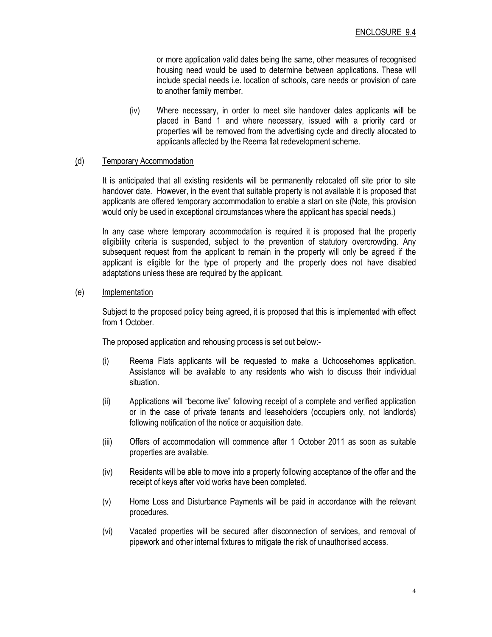or more application valid dates being the same, other measures of recognised housing need would be used to determine between applications. These will include special needs i.e. location of schools, care needs or provision of care to another family member.

(iv) Where necessary, in order to meet site handover dates applicants will be placed in Band 1 and where necessary, issued with a priority card or properties will be removed from the advertising cycle and directly allocated to applicants affected by the Reema flat redevelopment scheme.

### (d) Temporary Accommodation

It is anticipated that all existing residents will be permanently relocated off site prior to site handover date. However, in the event that suitable property is not available it is proposed that applicants are offered temporary accommodation to enable a start on site (Note, this provision would only be used in exceptional circumstances where the applicant has special needs.)

In any case where temporary accommodation is required it is proposed that the property eligibility criteria is suspended, subject to the prevention of statutory overcrowding. Any subsequent request from the applicant to remain in the property will only be agreed if the applicant is eligible for the type of property and the property does not have disabled adaptations unless these are required by the applicant.

### (e) Implementation

 Subject to the proposed policy being agreed, it is proposed that this is implemented with effect from 1 October.

The proposed application and rehousing process is set out below:-

- (i) Reema Flats applicants will be requested to make a Uchoosehomes application. Assistance will be available to any residents who wish to discuss their individual situation.
- (ii) Applications will "become live" following receipt of a complete and verified application or in the case of private tenants and leaseholders (occupiers only, not landlords) following notification of the notice or acquisition date.
- (iii) Offers of accommodation will commence after 1 October 2011 as soon as suitable properties are available.
- (iv) Residents will be able to move into a property following acceptance of the offer and the receipt of keys after void works have been completed.
- (v) Home Loss and Disturbance Payments will be paid in accordance with the relevant procedures.
- (vi) Vacated properties will be secured after disconnection of services, and removal of pipework and other internal fixtures to mitigate the risk of unauthorised access.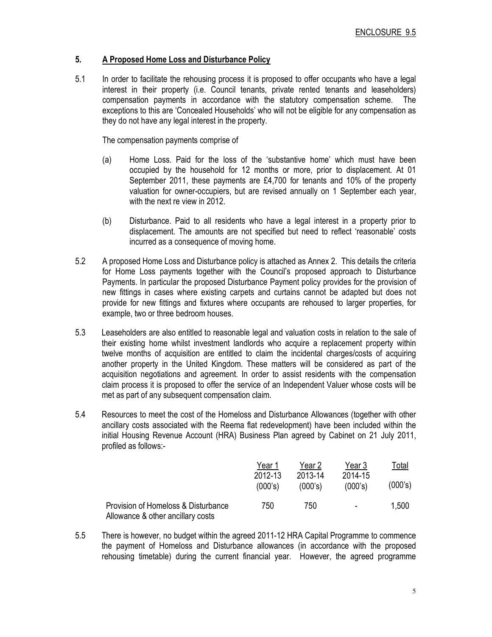# 5. A Proposed Home Loss and Disturbance Policy

5.1 In order to facilitate the rehousing process it is proposed to offer occupants who have a legal interest in their property (i.e. Council tenants, private rented tenants and leaseholders) compensation payments in accordance with the statutory compensation scheme. The exceptions to this are 'Concealed Households' who will not be eligible for any compensation as they do not have any legal interest in the property.

The compensation payments comprise of

- (a) Home Loss. Paid for the loss of the 'substantive home' which must have been occupied by the household for 12 months or more, prior to displacement. At 01 September 2011, these payments are £4,700 for tenants and 10% of the property valuation for owner-occupiers, but are revised annually on 1 September each year, with the next re view in 2012.
- (b) Disturbance. Paid to all residents who have a legal interest in a property prior to displacement. The amounts are not specified but need to reflect 'reasonable' costs incurred as a consequence of moving home.
- 5.2 A proposed Home Loss and Disturbance policy is attached as Annex 2. This details the criteria for Home Loss payments together with the Council's proposed approach to Disturbance Payments. In particular the proposed Disturbance Payment policy provides for the provision of new fittings in cases where existing carpets and curtains cannot be adapted but does not provide for new fittings and fixtures where occupants are rehoused to larger properties, for example, two or three bedroom houses.
- 5.3 Leaseholders are also entitled to reasonable legal and valuation costs in relation to the sale of their existing home whilst investment landlords who acquire a replacement property within twelve months of acquisition are entitled to claim the incidental charges/costs of acquiring another property in the United Kingdom. These matters will be considered as part of the acquisition negotiations and agreement. In order to assist residents with the compensation claim process it is proposed to offer the service of an Independent Valuer whose costs will be met as part of any subsequent compensation claim.
- 5.4 Resources to meet the cost of the Homeloss and Disturbance Allowances (together with other ancillary costs associated with the Reema flat redevelopment) have been included within the initial Housing Revenue Account (HRA) Business Plan agreed by Cabinet on 21 July 2011, profiled as follows:-

|                                                                          | Year 1             | Year 2             | Year 3                   | Total   |
|--------------------------------------------------------------------------|--------------------|--------------------|--------------------------|---------|
|                                                                          | 2012-13<br>(000's) | 2013-14<br>(000's) | 2014-15<br>(000's)       | (000's) |
| Provision of Homeloss & Disturbance<br>Allowance & other ancillary costs | 750                | 750                | $\overline{\phantom{0}}$ | 1,500   |

5.5 There is however, no budget within the agreed 2011-12 HRA Capital Programme to commence the payment of Homeloss and Disturbance allowances (in accordance with the proposed rehousing timetable) during the current financial year. However, the agreed programme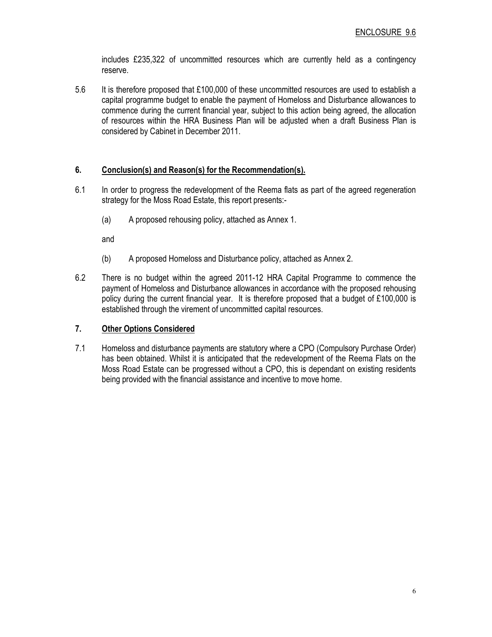includes £235,322 of uncommitted resources which are currently held as a contingency reserve.

5.6 It is therefore proposed that £100,000 of these uncommitted resources are used to establish a capital programme budget to enable the payment of Homeloss and Disturbance allowances to commence during the current financial year, subject to this action being agreed, the allocation of resources within the HRA Business Plan will be adjusted when a draft Business Plan is considered by Cabinet in December 2011.

# 6. Conclusion(s) and Reason(s) for the Recommendation(s).

- 6.1 In order to progress the redevelopment of the Reema flats as part of the agreed regeneration strategy for the Moss Road Estate, this report presents:-
	- (a) A proposed rehousing policy, attached as Annex 1.

and

- (b) A proposed Homeloss and Disturbance policy, attached as Annex 2.
- 6.2 There is no budget within the agreed 2011-12 HRA Capital Programme to commence the payment of Homeloss and Disturbance allowances in accordance with the proposed rehousing policy during the current financial year. It is therefore proposed that a budget of £100,000 is established through the virement of uncommitted capital resources.

### 7. Other Options Considered

7.1 Homeloss and disturbance payments are statutory where a CPO (Compulsory Purchase Order) has been obtained. Whilst it is anticipated that the redevelopment of the Reema Flats on the Moss Road Estate can be progressed without a CPO, this is dependant on existing residents being provided with the financial assistance and incentive to move home.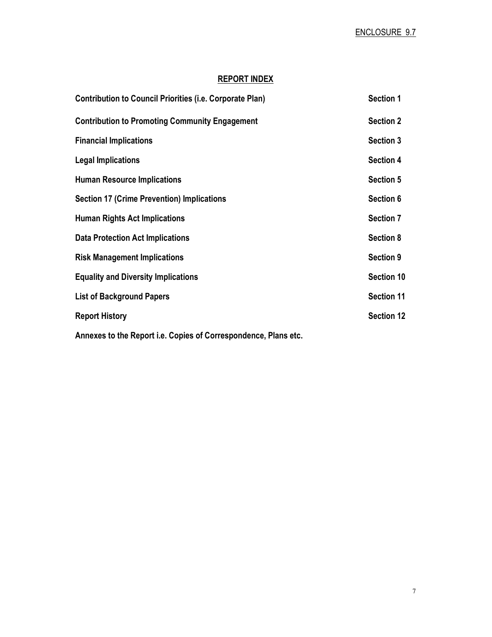# REPORT INDEX

| <b>Contribution to Council Priorities (i.e. Corporate Plan)</b> | <b>Section 1</b>  |
|-----------------------------------------------------------------|-------------------|
| <b>Contribution to Promoting Community Engagement</b>           | <b>Section 2</b>  |
| <b>Financial Implications</b>                                   | <b>Section 3</b>  |
| <b>Legal Implications</b>                                       | <b>Section 4</b>  |
| <b>Human Resource Implications</b>                              | <b>Section 5</b>  |
| <b>Section 17 (Crime Prevention) Implications</b>               | Section 6         |
| <b>Human Rights Act Implications</b>                            | <b>Section 7</b>  |
| <b>Data Protection Act Implications</b>                         | <b>Section 8</b>  |
| <b>Risk Management Implications</b>                             | <b>Section 9</b>  |
| <b>Equality and Diversity Implications</b>                      | Section 10        |
| <b>List of Background Papers</b>                                | <b>Section 11</b> |
| <b>Report History</b>                                           | <b>Section 12</b> |
|                                                                 |                   |

Annexes to the Report i.e. Copies of Correspondence, Plans etc.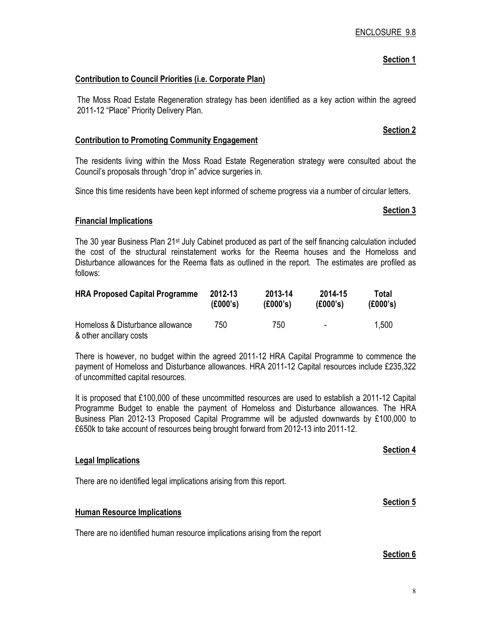# Section 1

# Contribution to Council Priorities (i.e. Corporate Plan)

The Moss Road Estate Regeneration strategy has been identified as a key action within the agreed 2011-12 "Place" Priority Delivery Plan.

### Contribution to Promoting Community Engagement

The residents living within the Moss Road Estate Regeneration strategy were consulted about the Council's proposals through "drop in" advice surgeries in.

Since this time residents have been kept informed of scheme progress via a number of circular letters.

### Financial Implications

The 30 year Business Plan 21<sup>st</sup> July Cabinet produced as part of the self financing calculation included the cost of the structural reinstatement works for the Reema houses and the Homeloss and Disturbance allowances for the Reema flats as outlined in the report. The estimates are profiled as follows:

| <b>HRA Proposed Capital Programme</b>                       | 2012-13  | 2013-14  | 2014-15                  | Total    |
|-------------------------------------------------------------|----------|----------|--------------------------|----------|
|                                                             | (E000's) | (E000's) | (E000's)                 | (£000's) |
| Homeloss & Disturbance allowance<br>& other ancillary costs | 750.     | 750      | $\overline{\phantom{0}}$ | 1,500    |

There is however, no budget within the agreed 2011-12 HRA Capital Programme to commence the payment of Homeloss and Disturbance allowances. HRA 2011-12 Capital resources include £235,322 of uncommitted capital resources.

It is proposed that £100,000 of these uncommitted resources are used to establish a 2011-12 Capital Programme Budget to enable the payment of Homeloss and Disturbance allowances. The HRA Business Plan 2012-13 Proposed Capital Programme will be adjusted downwards by £100,000 to £650k to take account of resources being brought forward from 2012-13 into 2011-12.

### Legal Implications

There are no identified legal implications arising from this report.

### Human Resource Implications

There are no identified human resource implications arising from the report

### Section 6

### Section 2

Section 3

# Section 4

# Section 5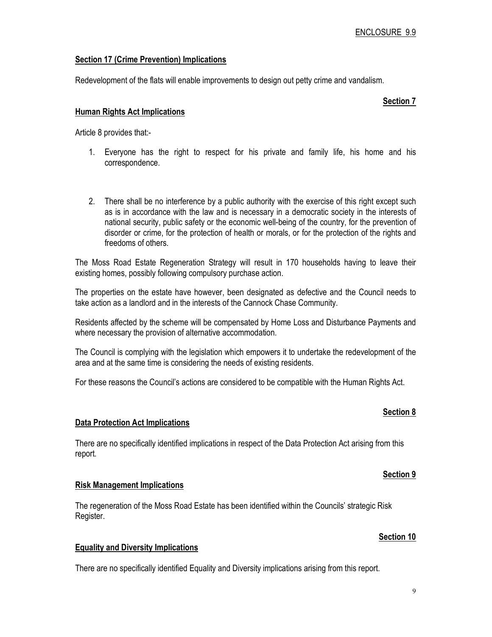# Section 17 (Crime Prevention) Implications

Redevelopment of the flats will enable improvements to design out petty crime and vandalism.

### Section 7

# Human Rights Act Implications

Article 8 provides that:-

- 1. Everyone has the right to respect for his private and family life, his home and his correspondence.
- 2. There shall be no interference by a public authority with the exercise of this right except such as is in accordance with the law and is necessary in a democratic society in the interests of national security, public safety or the economic well-being of the country, for the prevention of disorder or crime, for the protection of health or morals, or for the protection of the rights and freedoms of others.

The Moss Road Estate Regeneration Strategy will result in 170 households having to leave their existing homes, possibly following compulsory purchase action.

The properties on the estate have however, been designated as defective and the Council needs to take action as a landlord and in the interests of the Cannock Chase Community.

Residents affected by the scheme will be compensated by Home Loss and Disturbance Payments and where necessary the provision of alternative accommodation.

The Council is complying with the legislation which empowers it to undertake the redevelopment of the area and at the same time is considering the needs of existing residents.

For these reasons the Council's actions are considered to be compatible with the Human Rights Act.

### Data Protection Act Implications

There are no specifically identified implications in respect of the Data Protection Act arising from this report.

### Risk Management Implications

The regeneration of the Moss Road Estate has been identified within the Councils' strategic Risk Register.

### Equality and Diversity Implications

There are no specifically identified Equality and Diversity implications arising from this report.

# Section 8

Section 9

# Section 10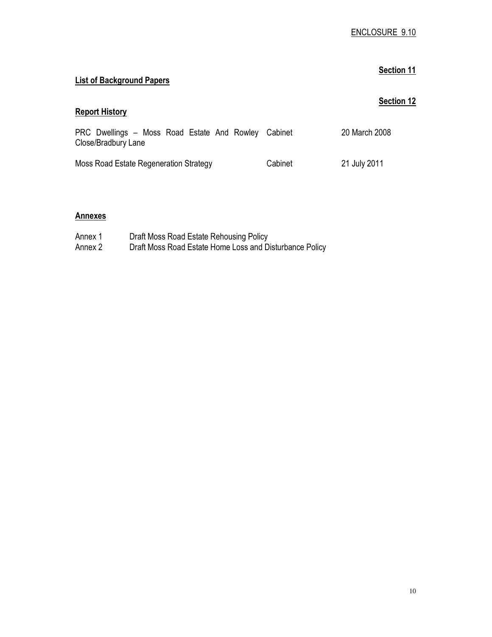# Section 11 List of Background Papers Section 12 Report History PRC Dwellings – Moss Road Estate And Rowley Cabinet Close/Bradbury Lane Moss Road Estate Regeneration Strategy Cabinet 20 March 2008 21 July 2011

# **Annexes**

| Annex 1 | Draft Moss Road Estate Rehousing Policy                 |
|---------|---------------------------------------------------------|
| Annex 2 | Draft Moss Road Estate Home Loss and Disturbance Policy |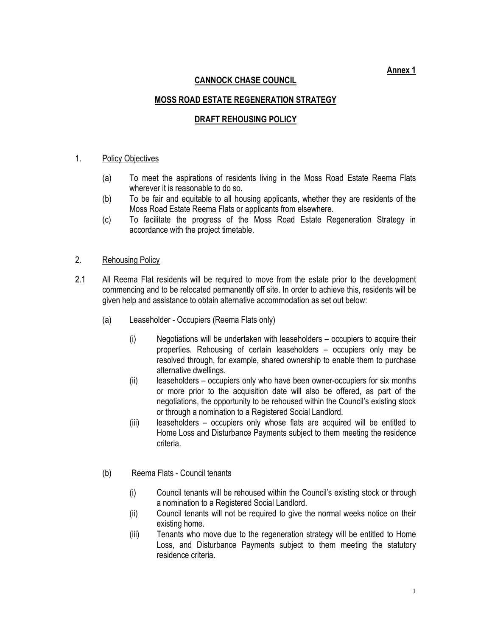Annex 1

# CANNOCK CHASE COUNCIL

# MOSS ROAD ESTATE REGENERATION STRATEGY

# DRAFT REHOUSING POLICY

### 1. Policy Objectives

- (a) To meet the aspirations of residents living in the Moss Road Estate Reema Flats wherever it is reasonable to do so.
- (b) To be fair and equitable to all housing applicants, whether they are residents of the Moss Road Estate Reema Flats or applicants from elsewhere.
- (c) To facilitate the progress of the Moss Road Estate Regeneration Strategy in accordance with the project timetable.

### 2. Rehousing Policy

- 2.1 All Reema Flat residents will be required to move from the estate prior to the development commencing and to be relocated permanently off site. In order to achieve this, residents will be given help and assistance to obtain alternative accommodation as set out below:
	- (a) Leaseholder Occupiers (Reema Flats only)
		- (i) Negotiations will be undertaken with leaseholders occupiers to acquire their properties. Rehousing of certain leaseholders – occupiers only may be resolved through, for example, shared ownership to enable them to purchase alternative dwellings.
		- (ii) leaseholders occupiers only who have been owner-occupiers for six months or more prior to the acquisition date will also be offered, as part of the negotiations, the opportunity to be rehoused within the Council's existing stock or through a nomination to a Registered Social Landlord.
		- (iii) leaseholders occupiers only whose flats are acquired will be entitled to Home Loss and Disturbance Payments subject to them meeting the residence criteria.
	- (b) Reema Flats Council tenants
		- (i) Council tenants will be rehoused within the Council's existing stock or through a nomination to a Registered Social Landlord.
		- (ii) Council tenants will not be required to give the normal weeks notice on their existing home.
		- (iii) Tenants who move due to the regeneration strategy will be entitled to Home Loss, and Disturbance Payments subject to them meeting the statutory residence criteria.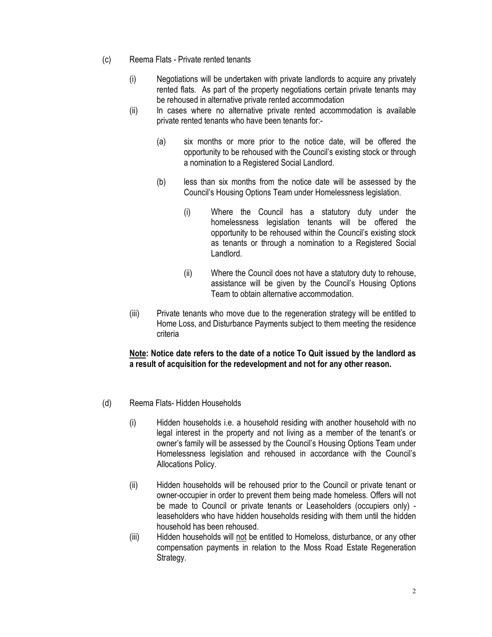- (c) Reema Flats Private rented tenants
	- (i) Negotiations will be undertaken with private landlords to acquire any privately rented flats. As part of the property negotiations certain private tenants may be rehoused in alternative private rented accommodation
	- (ii) In cases where no alternative private rented accommodation is available private rented tenants who have been tenants for:-
		- (a) six months or more prior to the notice date, will be offered the opportunity to be rehoused with the Council's existing stock or through a nomination to a Registered Social Landlord.
		- (b) less than six months from the notice date will be assessed by the Council's Housing Options Team under Homelessness legislation.
			- (i) Where the Council has a statutory duty under the homelessness legislation tenants will be offered the opportunity to be rehoused within the Council's existing stock as tenants or through a nomination to a Registered Social Landlord.
			- (ii) Where the Council does not have a statutory duty to rehouse, assistance will be given by the Council's Housing Options Team to obtain alternative accommodation.
	- (iii) Private tenants who move due to the regeneration strategy will be entitled to Home Loss, and Disturbance Payments subject to them meeting the residence criteria

# Note: Notice date refers to the date of a notice To Quit issued by the landlord as a result of acquisition for the redevelopment and not for any other reason.

- (d) Reema Flats- Hidden Households
	- (i) Hidden households i.e. a household residing with another household with no legal interest in the property and not living as a member of the tenant's or owner's family will be assessed by the Council's Housing Options Team under Homelessness legislation and rehoused in accordance with the Council's Allocations Policy.
	- (ii) Hidden households will be rehoused prior to the Council or private tenant or owner-occupier in order to prevent them being made homeless. Offers will not be made to Council or private tenants or Leaseholders (occupiers only) leaseholders who have hidden households residing with them until the hidden household has been rehoused.
	- (iii) Hidden households will not be entitled to Homeloss, disturbance, or any other compensation payments in relation to the Moss Road Estate Regeneration Strategy.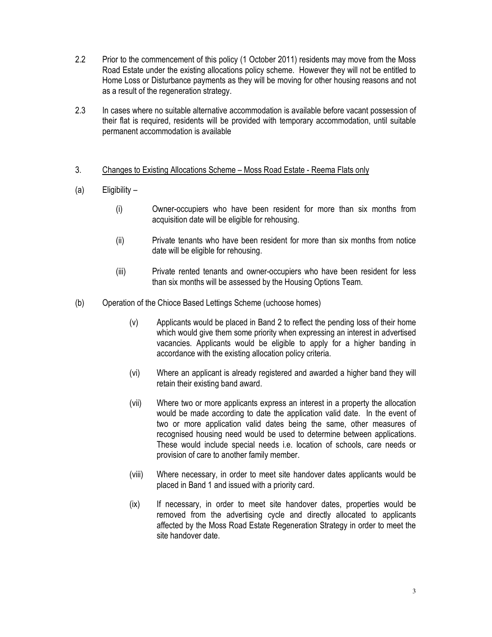- 2.2 Prior to the commencement of this policy (1 October 2011) residents may move from the Moss Road Estate under the existing allocations policy scheme. However they will not be entitled to Home Loss or Disturbance payments as they will be moving for other housing reasons and not as a result of the regeneration strategy.
- 2.3 In cases where no suitable alternative accommodation is available before vacant possession of their flat is required, residents will be provided with temporary accommodation, until suitable permanent accommodation is available
- 3. Changes to Existing Allocations Scheme Moss Road Estate Reema Flats only
- (a) Eligibility
	- (i) Owner-occupiers who have been resident for more than six months from acquisition date will be eligible for rehousing.
	- (ii) Private tenants who have been resident for more than six months from notice date will be eligible for rehousing.
	- (iii) Private rented tenants and owner-occupiers who have been resident for less than six months will be assessed by the Housing Options Team.
- (b) Operation of the Chioce Based Lettings Scheme (uchoose homes)
	- (v) Applicants would be placed in Band 2 to reflect the pending loss of their home which would give them some priority when expressing an interest in advertised vacancies. Applicants would be eligible to apply for a higher banding in accordance with the existing allocation policy criteria.
	- (vi) Where an applicant is already registered and awarded a higher band they will retain their existing band award.
	- (vii) Where two or more applicants express an interest in a property the allocation would be made according to date the application valid date. In the event of two or more application valid dates being the same, other measures of recognised housing need would be used to determine between applications. These would include special needs i.e. location of schools, care needs or provision of care to another family member.
	- (viii) Where necessary, in order to meet site handover dates applicants would be placed in Band 1 and issued with a priority card.
	- (ix) If necessary, in order to meet site handover dates, properties would be removed from the advertising cycle and directly allocated to applicants affected by the Moss Road Estate Regeneration Strategy in order to meet the site handover date.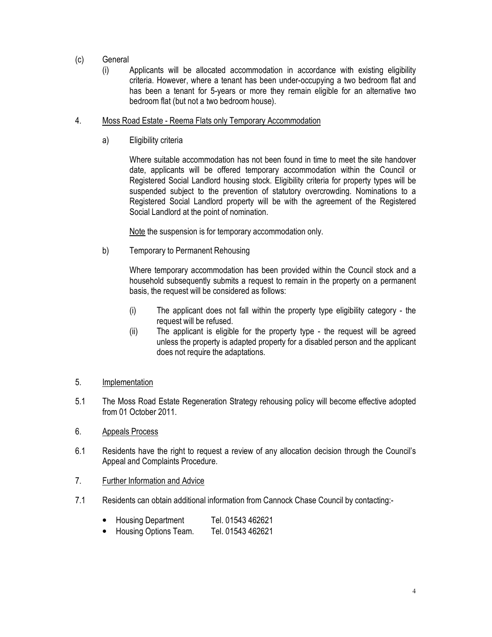- (c) General
	- (i) Applicants will be allocated accommodation in accordance with existing eligibility criteria. However, where a tenant has been under-occupying a two bedroom flat and has been a tenant for 5-years or more they remain eligible for an alternative two bedroom flat (but not a two bedroom house).
- 4. Moss Road Estate Reema Flats only Temporary Accommodation
	- a) Eligibility criteria

Where suitable accommodation has not been found in time to meet the site handover date, applicants will be offered temporary accommodation within the Council or Registered Social Landlord housing stock. Eligibility criteria for property types will be suspended subject to the prevention of statutory overcrowding. Nominations to a Registered Social Landlord property will be with the agreement of the Registered Social Landlord at the point of nomination.

Note the suspension is for temporary accommodation only.

b) Temporary to Permanent Rehousing

Where temporary accommodation has been provided within the Council stock and a household subsequently submits a request to remain in the property on a permanent basis, the request will be considered as follows:

- (i) The applicant does not fall within the property type eligibility category the request will be refused.
- (ii) The applicant is eligible for the property type the request will be agreed unless the property is adapted property for a disabled person and the applicant does not require the adaptations.
- 5. Implementation
- 5.1 The Moss Road Estate Regeneration Strategy rehousing policy will become effective adopted from 01 October 2011.
- 6. Appeals Process
- 6.1 Residents have the right to request a review of any allocation decision through the Council's Appeal and Complaints Procedure.
- 7. Further Information and Advice
- 7.1 Residents can obtain additional information from Cannock Chase Council by contacting:-
	- Housing Department Tel. 01543 462621
	- Housing Options Team. Tel. 01543 462621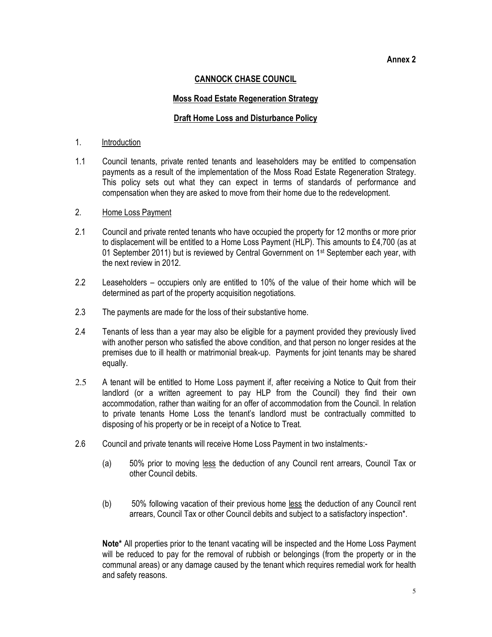### Annex 2

# CANNOCK CHASE COUNCIL

# Moss Road Estate Regeneration Strategy

### Draft Home Loss and Disturbance Policy

### 1. Introduction

1.1 Council tenants, private rented tenants and leaseholders may be entitled to compensation payments as a result of the implementation of the Moss Road Estate Regeneration Strategy. This policy sets out what they can expect in terms of standards of performance and compensation when they are asked to move from their home due to the redevelopment.

# 2. Home Loss Payment

- 2.1 Council and private rented tenants who have occupied the property for 12 months or more prior to displacement will be entitled to a Home Loss Payment (HLP). This amounts to £4,700 (as at 01 September 2011) but is reviewed by Central Government on 1<sup>st</sup> September each year, with the next review in 2012.
- 2.2 Leaseholders occupiers only are entitled to 10% of the value of their home which will be determined as part of the property acquisition negotiations.
- 2.3 The payments are made for the loss of their substantive home.
- 2.4 Tenants of less than a year may also be eligible for a payment provided they previously lived with another person who satisfied the above condition, and that person no longer resides at the premises due to ill health or matrimonial break-up. Payments for joint tenants may be shared equally.
- 2.5 A tenant will be entitled to Home Loss payment if, after receiving a Notice to Quit from their landlord (or a written agreement to pay HLP from the Council) they find their own accommodation, rather than waiting for an offer of accommodation from the Council. In relation to private tenants Home Loss the tenant's landlord must be contractually committed to disposing of his property or be in receipt of a Notice to Treat.
- 2.6 Council and private tenants will receive Home Loss Payment in two instalments:-
	- (a) 50% prior to moving less the deduction of any Council rent arrears, Council Tax or other Council debits.
	- (b) 50% following vacation of their previous home less the deduction of any Council rent arrears, Council Tax or other Council debits and subject to a satisfactory inspection\*.

Note<sup>\*</sup> All properties prior to the tenant vacating will be inspected and the Home Loss Payment will be reduced to pay for the removal of rubbish or belongings (from the property or in the communal areas) or any damage caused by the tenant which requires remedial work for health and safety reasons.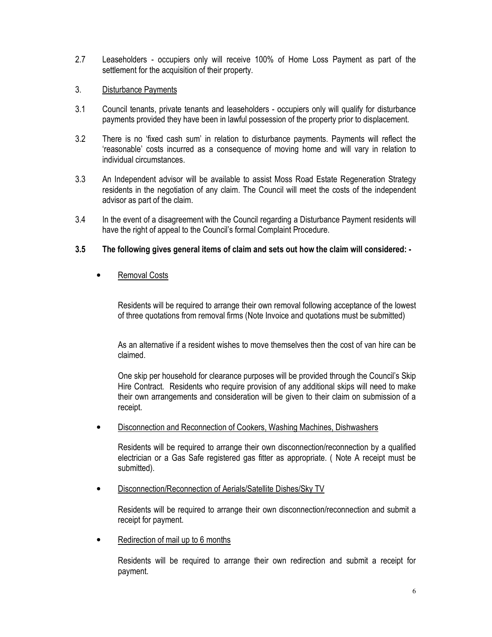2.7 Leaseholders - occupiers only will receive 100% of Home Loss Payment as part of the settlement for the acquisition of their property.

# 3. Disturbance Payments

- 3.1 Council tenants, private tenants and leaseholders occupiers only will qualify for disturbance payments provided they have been in lawful possession of the property prior to displacement.
- 3.2 There is no 'fixed cash sum' in relation to disturbance payments. Payments will reflect the 'reasonable' costs incurred as a consequence of moving home and will vary in relation to individual circumstances.
- 3.3 An Independent advisor will be available to assist Moss Road Estate Regeneration Strategy residents in the negotiation of any claim. The Council will meet the costs of the independent advisor as part of the claim.
- 3.4 In the event of a disagreement with the Council regarding a Disturbance Payment residents will have the right of appeal to the Council's formal Complaint Procedure.

# 3.5 The following gives general items of claim and sets out how the claim will considered: -

# • Removal Costs

Residents will be required to arrange their own removal following acceptance of the lowest of three quotations from removal firms (Note Invoice and quotations must be submitted)

As an alternative if a resident wishes to move themselves then the cost of van hire can be claimed.

One skip per household for clearance purposes will be provided through the Council's Skip Hire Contract. Residents who require provision of any additional skips will need to make their own arrangements and consideration will be given to their claim on submission of a receipt.

• Disconnection and Reconnection of Cookers, Washing Machines, Dishwashers

Residents will be required to arrange their own disconnection/reconnection by a qualified electrician or a Gas Safe registered gas fitter as appropriate. ( Note A receipt must be submitted).

• Disconnection/Reconnection of Aerials/Satellite Dishes/Sky TV

Residents will be required to arrange their own disconnection/reconnection and submit a receipt for payment.

Redirection of mail up to 6 months

Residents will be required to arrange their own redirection and submit a receipt for payment.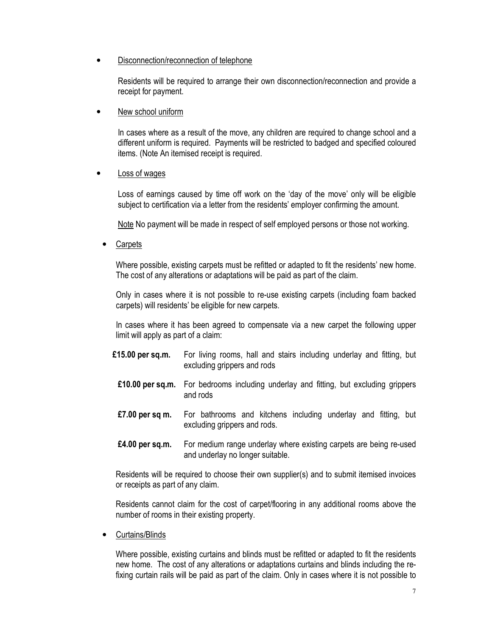# • Disconnection/reconnection of telephone

Residents will be required to arrange their own disconnection/reconnection and provide a receipt for payment.

New school uniform

In cases where as a result of the move, any children are required to change school and a different uniform is required. Payments will be restricted to badged and specified coloured items. (Note An itemised receipt is required.

Loss of wages

Loss of earnings caused by time off work on the 'day of the move' only will be eligible subject to certification via a letter from the residents' employer confirming the amount.

Note No payment will be made in respect of self employed persons or those not working.

**Carpets** 

Where possible, existing carpets must be refitted or adapted to fit the residents' new home. The cost of any alterations or adaptations will be paid as part of the claim.

Only in cases where it is not possible to re-use existing carpets (including foam backed carpets) will residents' be eligible for new carpets.

In cases where it has been agreed to compensate via a new carpet the following upper limit will apply as part of a claim:

- £15.00 per sq.m. For living rooms, hall and stairs including underlay and fitting, but excluding grippers and rods
- £10.00 per sq.m. For bedrooms including underlay and fitting, but excluding grippers and rods
- £7.00 per sq m. For bathrooms and kitchens including underlay and fitting, but excluding grippers and rods.
- £4.00 per sq.m. For medium range underlay where existing carpets are being re-used and underlay no longer suitable.

Residents will be required to choose their own supplier(s) and to submit itemised invoices or receipts as part of any claim.

Residents cannot claim for the cost of carpet/flooring in any additional rooms above the number of rooms in their existing property.

• Curtains/Blinds

Where possible, existing curtains and blinds must be refitted or adapted to fit the residents new home. The cost of any alterations or adaptations curtains and blinds including the refixing curtain rails will be paid as part of the claim. Only in cases where it is not possible to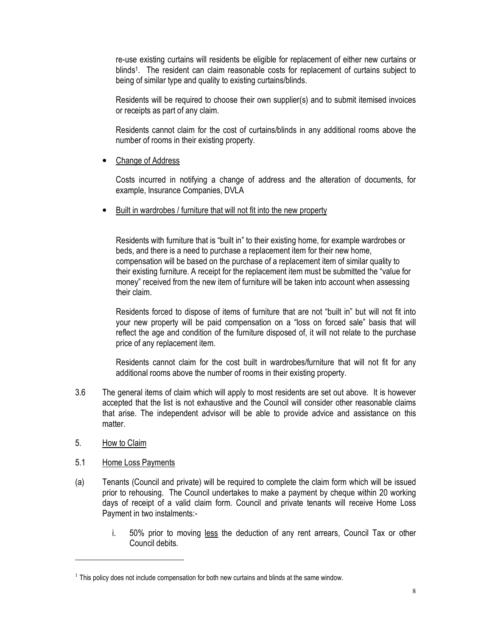re-use existing curtains will residents be eligible for replacement of either new curtains or blinds<sup>1</sup>. The resident can claim reasonable costs for replacement of curtains subject to being of similar type and quality to existing curtains/blinds.

Residents will be required to choose their own supplier(s) and to submit itemised invoices or receipts as part of any claim.

Residents cannot claim for the cost of curtains/blinds in any additional rooms above the number of rooms in their existing property.

Change of Address

Costs incurred in notifying a change of address and the alteration of documents, for example, Insurance Companies, DVLA

• Built in wardrobes / furniture that will not fit into the new property

Residents with furniture that is "built in" to their existing home, for example wardrobes or beds, and there is a need to purchase a replacement item for their new home, compensation will be based on the purchase of a replacement item of similar quality to their existing furniture. A receipt for the replacement item must be submitted the "value for money" received from the new item of furniture will be taken into account when assessing their claim.

 Residents forced to dispose of items of furniture that are not "built in" but will not fit into your new property will be paid compensation on a "loss on forced sale" basis that will reflect the age and condition of the furniture disposed of, it will not relate to the purchase price of any replacement item.

 Residents cannot claim for the cost built in wardrobes/furniture that will not fit for any additional rooms above the number of rooms in their existing property.

- 3.6 The general items of claim which will apply to most residents are set out above. It is however accepted that the list is not exhaustive and the Council will consider other reasonable claims that arise. The independent advisor will be able to provide advice and assistance on this matter.
- 5. How to Claim

 $\overline{a}$ 

- 5.1 Home Loss Payments
- (a) Tenants (Council and private) will be required to complete the claim form which will be issued prior to rehousing. The Council undertakes to make a payment by cheque within 20 working days of receipt of a valid claim form. Council and private tenants will receive Home Loss Payment in two instalments:
	- i. 50% prior to moving less the deduction of any rent arrears, Council Tax or other Council debits.

 $<sup>1</sup>$  This policy does not include compensation for both new curtains and blinds at the same window.</sup>